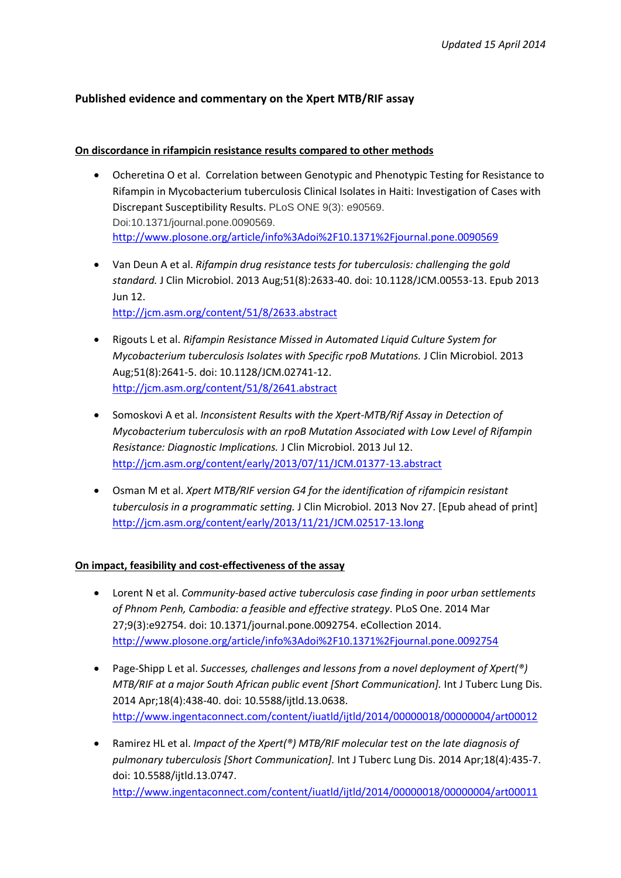# **Published evidence and commentary on the Xpert MTB/RIF assay**

## **On discordance in rifampicin resistance results compared to other methods**

- Ocheretina O et al. Correlation between Genotypic and Phenotypic Testing for Resistance to Rifampin in Mycobacterium tuberculosis Clinical Isolates in Haiti: Investigation of Cases with Discrepant Susceptibility Results. PLoS ONE 9(3): e90569. Doi:10.1371/journal.pone.0090569. <http://www.plosone.org/article/info%3Adoi%2F10.1371%2Fjournal.pone.0090569>
- Van Deun A et al. *Rifampin drug resistance tests for tuberculosis: challenging the gold standard.* J Clin Microbiol. 2013 Aug;51(8):2633-40. doi: 10.1128/JCM.00553-13. Epub 2013 Jun 12. <http://jcm.asm.org/content/51/8/2633.abstract>
- Rigouts L et al. *Rifampin Resistance Missed in Automated Liquid Culture System for Mycobacterium tuberculosis Isolates with Specific rpoB Mutations.* J Clin Microbiol. 2013 Aug;51(8):2641-5. doi: 10.1128/JCM.02741-12. <http://jcm.asm.org/content/51/8/2641.abstract>
- Somoskovi A et al. *Inconsistent Results with the Xpert-MTB/Rif Assay in Detection of Mycobacterium tuberculosis with an rpoB Mutation Associated with Low Level of Rifampin Resistance: Diagnostic Implications.* J Clin Microbiol. 2013 Jul 12. <http://jcm.asm.org/content/early/2013/07/11/JCM.01377-13.abstract>
- Osman M et al. *Xpert MTB/RIF version G4 for the identification of rifampicin resistant tuberculosis in a programmatic setting.* J Clin Microbiol. 2013 Nov 27. [Epub ahead of print] <http://jcm.asm.org/content/early/2013/11/21/JCM.02517-13.long>

# **On impact, feasibility and cost-effectiveness of the assay**

- Lorent N et al. *Community-based active tuberculosis case finding in poor urban settlements of Phnom Penh, Cambodia: a feasible and effective strategy*. PLoS One. 2014 Mar 27;9(3):e92754. doi: 10.1371/journal.pone.0092754. eCollection 2014. <http://www.plosone.org/article/info%3Adoi%2F10.1371%2Fjournal.pone.0092754>
- Page-Shipp L et al. *Successes, challenges and lessons from a novel deployment of Xpert(®) MTB/RIF at a major South African public event [Short Communication].* Int J Tuberc Lung Dis. 2014 Apr;18(4):438-40. doi: 10.5588/ijtld.13.0638. <http://www.ingentaconnect.com/content/iuatld/ijtld/2014/00000018/00000004/art00012>
- Ramirez HL et al. *Impact of the Xpert(®) MTB/RIF molecular test on the late diagnosis of pulmonary tuberculosis [Short Communication].* Int J Tuberc Lung Dis. 2014 Apr;18(4):435-7. doi: 10.5588/ijtld.13.0747. <http://www.ingentaconnect.com/content/iuatld/ijtld/2014/00000018/00000004/art00011>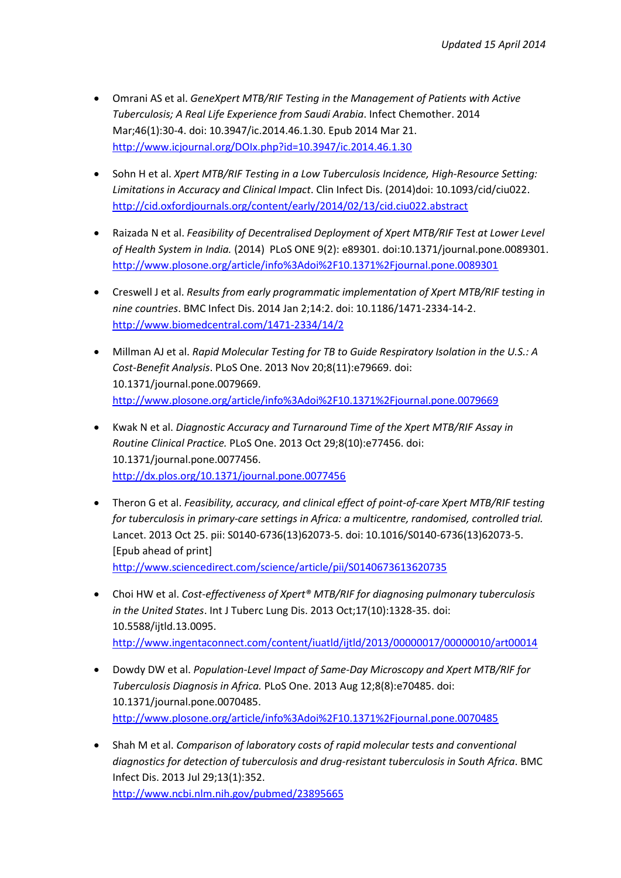- Omrani AS et al. *GeneXpert MTB/RIF Testing in the Management of Patients with Active Tuberculosis; A Real Life Experience from Saudi Arabia*. Infect Chemother. 2014 Mar;46(1):30-4. doi: 10.3947/ic.2014.46.1.30. Epub 2014 Mar 21. <http://www.icjournal.org/DOIx.php?id=10.3947/ic.2014.46.1.30>
- Sohn H et al. *Xpert MTB/RIF Testing in a Low Tuberculosis Incidence, High-Resource Setting: Limitations in Accuracy and Clinical Impact*. Clin Infect Dis. (2014)doi: 10.1093/cid/ciu022. <http://cid.oxfordjournals.org/content/early/2014/02/13/cid.ciu022.abstract>
- Raizada N et al. *Feasibility of Decentralised Deployment of Xpert MTB/RIF Test at Lower Level of Health System in India.* (2014) PLoS ONE 9(2): e89301. doi:10.1371/journal.pone.0089301. <http://www.plosone.org/article/info%3Adoi%2F10.1371%2Fjournal.pone.0089301>
- Creswell J et al. *Results from early programmatic implementation of Xpert MTB/RIF testing in nine countries*. BMC Infect Dis. 2014 Jan 2;14:2. doi: 10.1186/1471-2334-14-2. <http://www.biomedcentral.com/1471-2334/14/2>
- Millman AJ et al. *Rapid Molecular Testing for TB to Guide Respiratory Isolation in the U.S.: A Cost-Benefit Analysis*. PLoS One. 2013 Nov 20;8(11):e79669. doi: 10.1371/journal.pone.0079669. <http://www.plosone.org/article/info%3Adoi%2F10.1371%2Fjournal.pone.0079669>
- Kwak N et al. *Diagnostic Accuracy and Turnaround Time of the Xpert MTB/RIF Assay in Routine Clinical Practice.* PLoS One. 2013 Oct 29;8(10):e77456. doi: 10.1371/journal.pone.0077456. <http://dx.plos.org/10.1371/journal.pone.0077456>
- Theron G et al. *Feasibility, accuracy, and clinical effect of point-of-care Xpert MTB/RIF testing for tuberculosis in primary-care settings in Africa: a multicentre, randomised, controlled trial.* Lancet. 2013 Oct 25. pii: S0140-6736(13)62073-5. doi: 10.1016/S0140-6736(13)62073-5. [Epub ahead of print] <http://www.sciencedirect.com/science/article/pii/S0140673613620735>
- Choi HW et al. *Cost-effectiveness of Xpert® MTB/RIF for diagnosing pulmonary tuberculosis in the United States*. Int J Tuberc Lung Dis. 2013 Oct;17(10):1328-35. doi: 10.5588/ijtld.13.0095. <http://www.ingentaconnect.com/content/iuatld/ijtld/2013/00000017/00000010/art00014>
- Dowdy DW et al. *Population-Level Impact of Same-Day Microscopy and Xpert MTB/RIF for Tuberculosis Diagnosis in Africa.* PLoS One. 2013 Aug 12;8(8):e70485. doi: 10.1371/journal.pone.0070485. <http://www.plosone.org/article/info%3Adoi%2F10.1371%2Fjournal.pone.0070485>
- Shah M et al. *Comparison of laboratory costs of rapid molecular tests and conventional diagnostics for detection of tuberculosis and drug-resistant tuberculosis in South Africa*. BMC Infect Dis. 2013 Jul 29;13(1):352.

<http://www.ncbi.nlm.nih.gov/pubmed/23895665>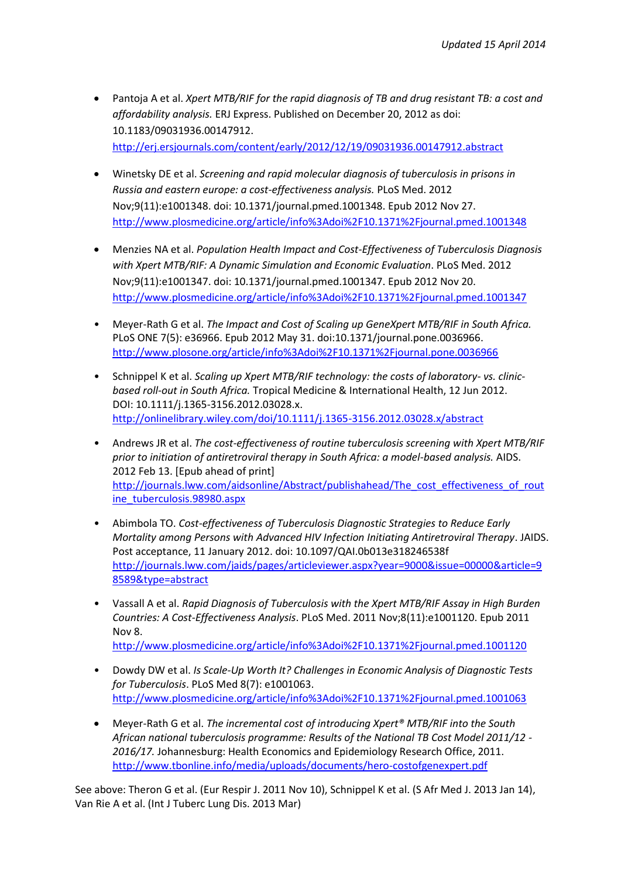- Pantoja A et al. *Xpert MTB/RIF for the rapid diagnosis of TB and drug resistant TB: a cost and affordability analysis.* ERJ Express. Published on December 20, 2012 as doi: 10.1183/09031936.00147912. <http://erj.ersjournals.com/content/early/2012/12/19/09031936.00147912.abstract>
- Winetsky DE et al. *Screening and rapid molecular diagnosis of tuberculosis in prisons in Russia and eastern europe: a cost-effectiveness analysis.* PLoS Med. 2012 Nov;9(11):e1001348. doi: 10.1371/journal.pmed.1001348. Epub 2012 Nov 27. <http://www.plosmedicine.org/article/info%3Adoi%2F10.1371%2Fjournal.pmed.1001348>
- Menzies NA et al. *Population Health Impact and Cost-Effectiveness of Tuberculosis Diagnosis with Xpert MTB/RIF: A Dynamic Simulation and Economic Evaluation*[. PLoS Med.](http://www.ncbi.nlm.nih.gov/pubmed/23185139) 2012 Nov;9(11):e1001347. doi: 10.1371/journal.pmed.1001347. Epub 2012 Nov 20. <http://www.plosmedicine.org/article/info%3Adoi%2F10.1371%2Fjournal.pmed.1001347>
- Meyer-Rath G et al. *The Impact and Cost of Scaling up GeneXpert MTB/RIF in South Africa.* PLoS ONE 7(5): e36966. Epub 2012 May 31. doi:10.1371/journal.pone.0036966. <http://www.plosone.org/article/info%3Adoi%2F10.1371%2Fjournal.pone.0036966>
- Schnippel K et al. *Scaling up Xpert MTB/RIF technology: the costs of laboratory- vs. clinicbased roll-out in South Africa.* Tropical Medicine & International Health, 12 Jun 2012. DOI: 10.1111/j.1365-3156.2012.03028.x. <http://onlinelibrary.wiley.com/doi/10.1111/j.1365-3156.2012.03028.x/abstract>
- Andrews JR et al. *The cost-effectiveness of routine tuberculosis screening with Xpert MTB/RIF prior to initiation of antiretroviral therapy in South Africa: a model-based analysis.* AIDS. 2012 Feb 13. [Epub ahead of print] [http://journals.lww.com/aidsonline/Abstract/publishahead/The\\_cost\\_effectiveness\\_of\\_rout](http://journals.lww.com/aidsonline/Abstract/publishahead/The_cost_effectiveness_of_routine_tuberculosis.98980.aspx) [ine\\_tuberculosis.98980.aspx](http://journals.lww.com/aidsonline/Abstract/publishahead/The_cost_effectiveness_of_routine_tuberculosis.98980.aspx)
- Abimbola TO. *Cost-effectiveness of Tuberculosis Diagnostic Strategies to Reduce Early Mortality among Persons with Advanced HIV Infection Initiating Antiretroviral Therapy*. JAIDS. Post acceptance, 11 January 2012. doi: 10.1097/QAI.0b013e318246538f [http://journals.lww.com/jaids/pages/articleviewer.aspx?year=9000&issue=00000&article=9](http://journals.lww.com/jaids/pages/articleviewer.aspx?year=9000&issue=00000&article=98589&type=abstract) [8589&type=abstract](http://journals.lww.com/jaids/pages/articleviewer.aspx?year=9000&issue=00000&article=98589&type=abstract)
- Vassall A et al. *Rapid Diagnosis of Tuberculosis with the Xpert MTB/RIF Assay in High Burden Countries: A Cost-Effectiveness Analysis*. PLoS Med. 2011 Nov;8(11):e1001120. Epub 2011 Nov 8. <http://www.plosmedicine.org/article/info%3Adoi%2F10.1371%2Fjournal.pmed.1001120>
- Dowdy DW et al. *Is Scale-Up Worth It? Challenges in Economic Analysis of Diagnostic Tests for Tuberculosis*. PLoS Med 8(7): e1001063. <http://www.plosmedicine.org/article/info%3Adoi%2F10.1371%2Fjournal.pmed.1001063>
- Meyer-Rath G et al. *The incremental cost of introducing Xpert® MTB/RIF into the South African national tuberculosis programme: Results of the National TB Cost Model 2011/12 - 2016/17.* Johannesburg: Health Economics and Epidemiology Research Office, 2011. <http://www.tbonline.info/media/uploads/documents/hero-costofgenexpert.pdf>

See above: Theron G et al. (Eur Respir J. 2011 Nov 10), Schnippel K et al. (S Afr Med J. 2013 Jan 14), Van Rie A et al. (Int J Tuberc Lung Dis. 2013 Mar)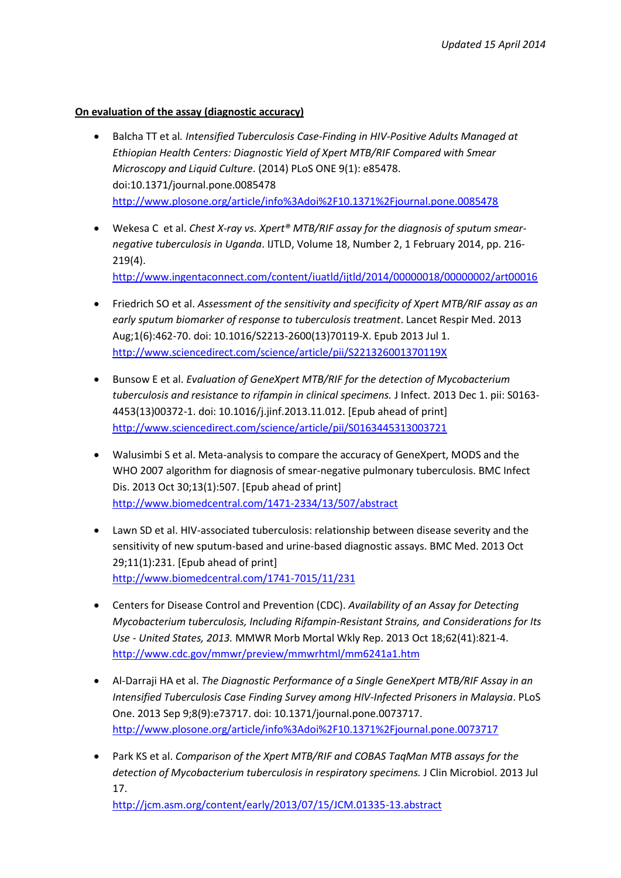## **On evaluation of the assay (diagnostic accuracy)**

- Balcha TT et al*. Intensified Tuberculosis Case-Finding in HIV-Positive Adults Managed at Ethiopian Health Centers: Diagnostic Yield of Xpert MTB/RIF Compared with Smear Microscopy and Liquid Culture*. (2014) PLoS ONE 9(1): e85478. doi:10.1371/journal.pone.0085478 <http://www.plosone.org/article/info%3Adoi%2F10.1371%2Fjournal.pone.0085478>
- Wekesa C et al. *Chest X-ray vs. Xpert® MTB/RIF assay for the diagnosis of sputum smearnegative tuberculosis in Uganda*. IJTLD, Volume 18, Number 2, 1 February 2014, pp. 216- 219(4). <http://www.ingentaconnect.com/content/iuatld/ijtld/2014/00000018/00000002/art00016>
- Friedrich SO et al. *Assessment of the sensitivity and specificity of Xpert MTB/RIF assay as an early sputum biomarker of response to tuberculosis treatment*. Lancet Respir Med. 2013 Aug;1(6):462-70. doi: 10.1016/S2213-2600(13)70119-X. Epub 2013 Jul 1. <http://www.sciencedirect.com/science/article/pii/S221326001370119X>
- Bunsow E et al. *Evaluation of GeneXpert MTB/RIF for the detection of Mycobacterium tuberculosis and resistance to rifampin in clinical specimens.* J Infect. 2013 Dec 1. pii: S0163- 4453(13)00372-1. doi: 10.1016/j.jinf.2013.11.012. [Epub ahead of print] <http://www.sciencedirect.com/science/article/pii/S0163445313003721>
- Walusimbi S et al. Meta-analysis to compare the accuracy of GeneXpert, MODS and the WHO 2007 algorithm for diagnosis of smear-negative pulmonary tuberculosis. BMC Infect Dis. 2013 Oct 30;13(1):507. [Epub ahead of print] <http://www.biomedcentral.com/1471-2334/13/507/abstract>
- Lawn SD et al. HIV-associated tuberculosis: relationship between disease severity and the sensitivity of new sputum-based and urine-based diagnostic assays. BMC Med. 2013 Oct 29;11(1):231. [Epub ahead of print] <http://www.biomedcentral.com/1741-7015/11/231>
- Centers for Disease Control and Prevention (CDC). *Availability of an Assay for Detecting Mycobacterium tuberculosis, Including Rifampin-Resistant Strains, and Considerations for Its Use - United States, 2013.* MMWR Morb Mortal Wkly Rep. 2013 Oct 18;62(41):821-4. <http://www.cdc.gov/mmwr/preview/mmwrhtml/mm6241a1.htm>
- Al-Darraji HA et al. *The Diagnostic Performance of a Single GeneXpert MTB/RIF Assay in an Intensified Tuberculosis Case Finding Survey among HIV-Infected Prisoners in Malaysia*. PLoS One. 2013 Sep 9;8(9):e73717. doi: 10.1371/journal.pone.0073717. <http://www.plosone.org/article/info%3Adoi%2F10.1371%2Fjournal.pone.0073717>
- Park KS et al. *Comparison of the Xpert MTB/RIF and COBAS TaqMan MTB assays for the detection of Mycobacterium tuberculosis in respiratory specimens.* J Clin Microbiol. 2013 Jul 17.

<http://jcm.asm.org/content/early/2013/07/15/JCM.01335-13.abstract>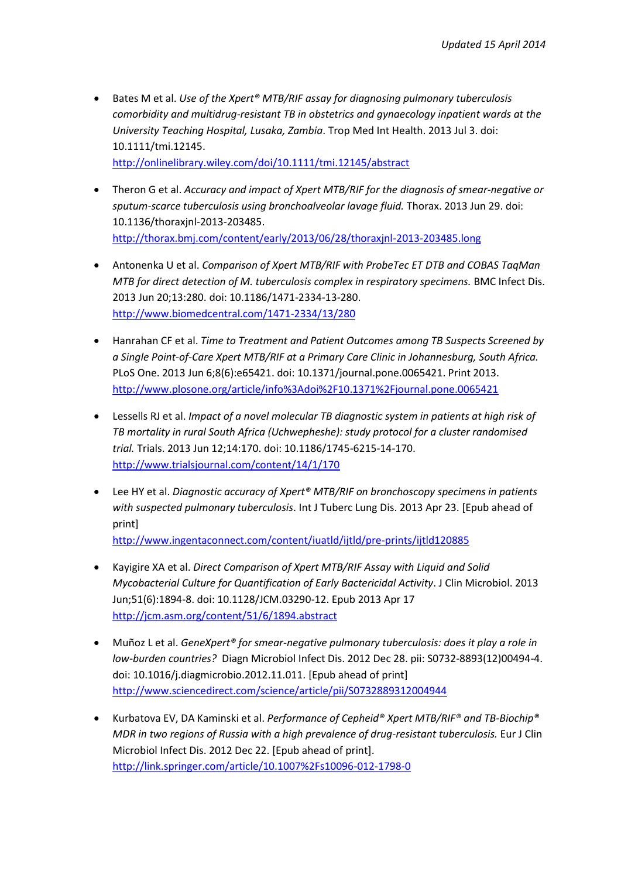Bates M et al. *Use of the Xpert® MTB/RIF assay for diagnosing pulmonary tuberculosis comorbidity and multidrug-resistant TB in obstetrics and gynaecology inpatient wards at the University Teaching Hospital, Lusaka, Zambia*. Trop Med Int Health. 2013 Jul 3. doi: 10.1111/tmi.12145. [http://onlinelibrary.wiley.com/doi/10.1111/tmi.12145/abstract](http://onlinelibrary.wiley.com/doi/10.1111/tmi.12145/abstract;jsessionid=0E74802E2F34D100F855CECCD5CFA04E.d04t03)

 Theron G et al. *Accuracy and impact of Xpert MTB/RIF for the diagnosis of smear-negative or sputum-scarce tuberculosis using bronchoalveolar lavage fluid.* Thorax. 2013 Jun 29. doi: 10.1136/thoraxjnl-2013-203485.

<http://thorax.bmj.com/content/early/2013/06/28/thoraxjnl-2013-203485.long>

- Antonenka U et al. *Comparison of Xpert MTB/RIF with ProbeTec ET DTB and COBAS TaqMan MTB for direct detection of M. tuberculosis complex in respiratory specimens.* BMC Infect Dis. 2013 Jun 20;13:280. doi: 10.1186/1471-2334-13-280. <http://www.biomedcentral.com/1471-2334/13/280>
- Hanrahan CF et al. *Time to Treatment and Patient Outcomes among TB Suspects Screened by a Single Point-of-Care Xpert MTB/RIF at a Primary Care Clinic in Johannesburg, South Africa.* PLoS One. 2013 Jun 6;8(6):e65421. doi: 10.1371/journal.pone.0065421. Print 2013. <http://www.plosone.org/article/info%3Adoi%2F10.1371%2Fjournal.pone.0065421>
- Lessells RJ et al. *Impact of a novel molecular TB diagnostic system in patients at high risk of TB mortality in rural South Africa (Uchwepheshe): study protocol for a cluster randomised trial.* Trials. 2013 Jun 12;14:170. doi: 10.1186/1745-6215-14-170. <http://www.trialsjournal.com/content/14/1/170>
- Lee HY et al. *Diagnostic accuracy of Xpert® MTB/RIF on bronchoscopy specimens in patients with suspected pulmonary tuberculosis*. Int J Tuberc Lung Dis. 2013 Apr 23. [Epub ahead of print]

<http://www.ingentaconnect.com/content/iuatld/ijtld/pre-prints/ijtld120885>

- Kayigire XA et al. *Direct Comparison of Xpert MTB/RIF Assay with Liquid and Solid Mycobacterial Culture for Quantification of Early Bactericidal Activity*. J Clin Microbiol. 2013 Jun;51(6):1894-8. doi: 10.1128/JCM.03290-12. Epub 2013 Apr 17 <http://jcm.asm.org/content/51/6/1894.abstract>
- Muñoz L et al. *GeneXpert® for smear-negative pulmonary tuberculosis: does it play a role in low-burden countries?* Diagn Microbiol Infect Dis. 2012 Dec 28. pii: S0732-8893(12)00494-4. doi: 10.1016/j.diagmicrobio.2012.11.011. [Epub ahead of print] <http://www.sciencedirect.com/science/article/pii/S0732889312004944>
- Kurbatova EV, DA Kaminski et al. *Performance of Cepheid® Xpert MTB/RIF® and TB-Biochip® MDR in two regions of Russia with a high prevalence of drug-resistant tuberculosis.* Eur J Clin Microbiol Infect Dis. 2012 Dec 22. [Epub ahead of print]. <http://link.springer.com/article/10.1007%2Fs10096-012-1798-0>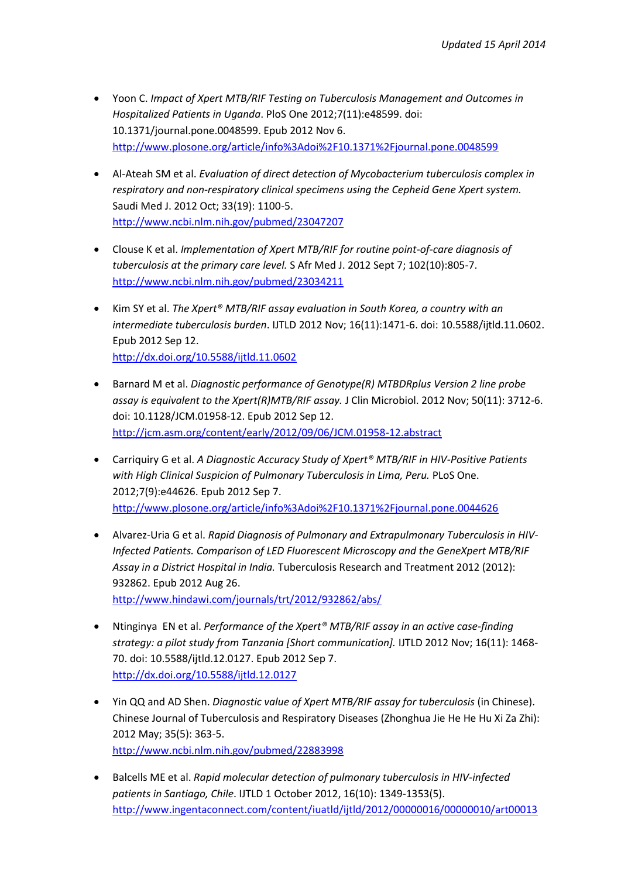- Yoon C. *Impact of Xpert MTB/RIF Testing on Tuberculosis Management and Outcomes in Hospitalized Patients in Uganda*. PloS One 2012;7(11):e48599. doi: 10.1371/journal.pone.0048599. Epub 2012 Nov 6. <http://www.plosone.org/article/info%3Adoi%2F10.1371%2Fjournal.pone.0048599>
- Al-Ateah SM et al. *Evaluation of direct detection of Mycobacterium tuberculosis complex in respiratory and non-respiratory clinical specimens using the Cepheid Gene Xpert system.* Saudi Med J. 2012 Oct; 33(19): 1100-5. <http://www.ncbi.nlm.nih.gov/pubmed/23047207>
- Clouse K et al. *Implementation of Xpert MTB/RIF for routine point-of-care diagnosis of tuberculosis at the primary care level.* S Afr Med J. 2012 Sept 7; 102(10):805-7. <http://www.ncbi.nlm.nih.gov/pubmed/23034211>
- Kim SY et al. *The Xpert® MTB/RIF assay evaluation in South Korea, a country with an intermediate tuberculosis burden*. IJTLD 2012 Nov; 16(11):1471-6. doi: 10.5588/ijtld.11.0602. Epub 2012 Sep 12. <http://dx.doi.org/10.5588/ijtld.11.0602>
- Barnard M et al. *Diagnostic performance of Genotype(R) MTBDRplus Version 2 line probe assay is equivalent to the Xpert(R)MTB/RIF assay.* J Clin Microbiol. 2012 Nov; 50(11): 3712-6. doi: 10.1128/JCM.01958-12. Epub 2012 Sep 12. <http://jcm.asm.org/content/early/2012/09/06/JCM.01958-12.abstract>
- Carriquiry G et al. *A Diagnostic Accuracy Study of Xpert® MTB/RIF in HIV-Positive Patients with High Clinical Suspicion of Pulmonary Tuberculosis in Lima, Peru.* PLoS One. 2012;7(9):e44626. Epub 2012 Sep 7. <http://www.plosone.org/article/info%3Adoi%2F10.1371%2Fjournal.pone.0044626>
- Alvarez-Uria G et al. *Rapid Diagnosis of Pulmonary and Extrapulmonary Tuberculosis in HIV-Infected Patients. Comparison of LED Fluorescent Microscopy and the GeneXpert MTB/RIF Assay in a District Hospital in India.* Tuberculosis Research and Treatment 2012 (2012): 932862. Epub 2012 Aug 26. <http://www.hindawi.com/journals/trt/2012/932862/abs/>
- Ntinginya EN et al. *Performance of the Xpert® MTB/RIF assay in an active case-finding strategy: a pilot study from Tanzania [Short communication].* IJTLD 2012 Nov; 16(11): 1468- 70. doi: 10.5588/ijtld.12.0127. Epub 2012 Sep 7. <http://dx.doi.org/10.5588/ijtld.12.0127>
- Yin QQ and AD Shen. *Diagnostic value of Xpert MTB/RIF assay for tuberculosis* (in Chinese). Chinese Journal of Tuberculosis and Respiratory Diseases (Zhonghua Jie He He Hu Xi Za Zhi): 2012 May; 35(5): 363-5. <http://www.ncbi.nlm.nih.gov/pubmed/22883998>
- Balcells ME et al. *Rapid molecular detection of pulmonary tuberculosis in HIV-infected patients in Santiago, Chile*. IJTLD 1 October 2012, 16(10): 1349-1353(5). <http://www.ingentaconnect.com/content/iuatld/ijtld/2012/00000016/00000010/art00013>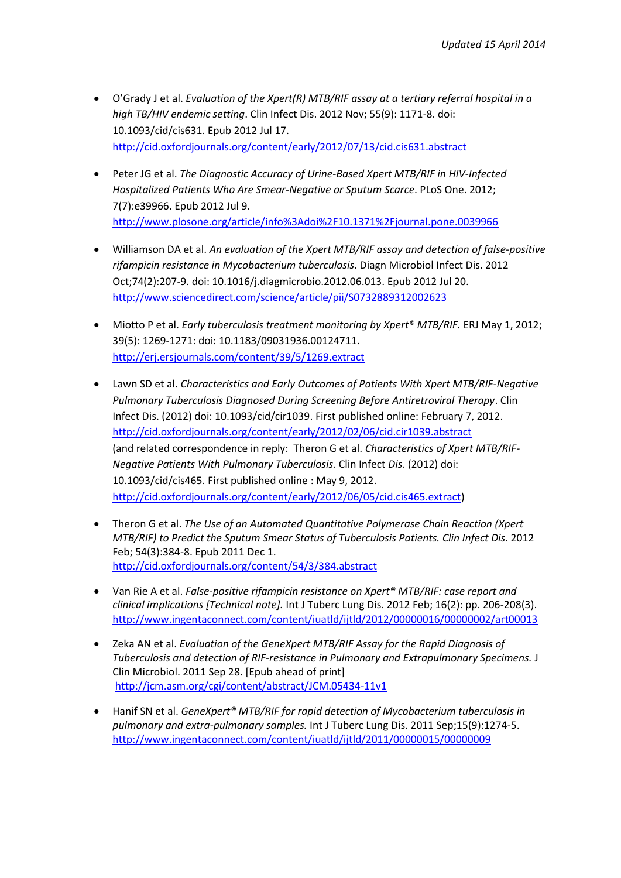- O'Grady J et al. *Evaluation of the Xpert(R) MTB/RIF assay at a tertiary referral hospital in a high TB/HIV endemic setting*. Clin Infect Dis. 2012 Nov; 55(9): 1171-8. doi: 10.1093/cid/cis631. Epub 2012 Jul 17. <http://cid.oxfordjournals.org/content/early/2012/07/13/cid.cis631.abstract>
- Peter JG et al. *The Diagnostic Accuracy of Urine-Based Xpert MTB/RIF in HIV-Infected Hospitalized Patients Who Are Smear-Negative or Sputum Scarce*. PLoS One. 2012; 7(7):e39966. Epub 2012 Jul 9. <http://www.plosone.org/article/info%3Adoi%2F10.1371%2Fjournal.pone.0039966>
- Williamson DA et al. *An evaluation of the Xpert MTB/RIF assay and detection of false-positive rifampicin resistance in Mycobacterium tuberculosis*. [Diagn Microbiol Infect Dis.](http://www.ncbi.nlm.nih.gov/pubmed/22819240) 2012 Oct;74(2):207-9. doi: 10.1016/j.diagmicrobio.2012.06.013. Epub 2012 Jul 20. <http://www.sciencedirect.com/science/article/pii/S0732889312002623>
- Miotto P et al. *Early tuberculosis treatment monitoring by Xpert® MTB/RIF.* ERJ May 1, 2012; 39(5): 1269-1271: doi: 10.1183/09031936.00124711. <http://erj.ersjournals.com/content/39/5/1269.extract>
- Lawn SD et al. *Characteristics and Early Outcomes of Patients With Xpert MTB/RIF-Negative Pulmonary Tuberculosis Diagnosed During Screening Before Antiretroviral Therapy*. Clin Infect Dis. (2012) doi: 10.1093/cid/cir1039. First published online: February 7, 2012. <http://cid.oxfordjournals.org/content/early/2012/02/06/cid.cir1039.abstract> (and related correspondence in reply: Theron G et al. *Characteristics of Xpert MTB/RIF-Negative Patients With Pulmonary Tuberculosis.* Clin Infect *Dis.* (2012) doi: 10.1093/cid/cis465. First published online : May 9, 2012. [http://cid.oxfordjournals.org/content/early/2012/06/05/cid.cis465.extract\)](http://cid.oxfordjournals.org/content/early/2012/06/05/cid.cis465.extract)
- Theron G et al. *[The Use of an Automated Quantitative Polymerase Chain Reaction \(Xpert](http://www.ncbi.nlm.nih.gov/pubmed/22139854)  [MTB/RIF\) to Predict the Sputum Smear Status of Tuberculosis Patients. Clin Infect Dis.](http://www.ncbi.nlm.nih.gov/pubmed/22139854)* 2012 Feb; 54(3):384-8. Epub 2011 Dec 1. <http://cid.oxfordjournals.org/content/54/3/384.abstract>
- Van Rie A et al. *False-positive rifampicin resistance on Xpert® MTB/RIF: case report and clinical implications [Technical note].* Int J Tuberc Lung Dis. 2012 Feb; 16(2): pp. 206-208(3). <http://www.ingentaconnect.com/content/iuatld/ijtld/2012/00000016/00000002/art00013>
- Zeka AN et al. *Evaluation of the GeneXpert MTB/RIF Assay for the Rapid Diagnosis of Tuberculosis and detection of RIF-resistance in Pulmonary and Extrapulmonary Specimens.* J Clin Microbiol. 2011 Sep 28. [Epub ahead of print] <http://jcm.asm.org/cgi/content/abstract/JCM.05434-11v1>
- Hanif SN et al. *GeneXpert® MTB/RIF for rapid detection of Mycobacterium tuberculosis in pulmonary and extra-pulmonary samples.* Int J Tuberc Lung Dis. 2011 Sep;15(9):1274-5. <http://www.ingentaconnect.com/content/iuatld/ijtld/2011/00000015/00000009>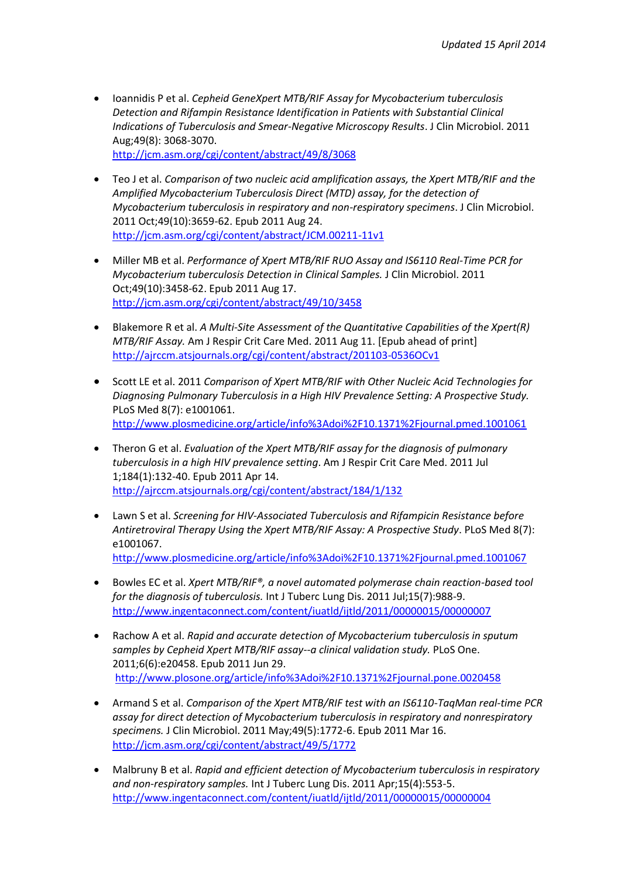- Ioannidis P et al. *Cepheid GeneXpert MTB/RIF Assay for Mycobacterium tuberculosis Detection and Rifampin Resistance Identification in Patients with Substantial Clinical Indications of Tuberculosis and Smear-Negative Microscopy Results*. J Clin Microbiol. 2011 Aug;49(8): 3068-3070. <http://jcm.asm.org/cgi/content/abstract/49/8/3068>
- Teo J et al. *Comparison of two nucleic acid amplification assays, the Xpert MTB/RIF and the Amplified Mycobacterium Tuberculosis Direct (MTD) assay, for the detection of Mycobacterium tuberculosis in respiratory and non-respiratory specimens*[. J Clin Microbiol.](http://www.ncbi.nlm.nih.gov/pubmed/21880965) 2011 Oct;49(10):3659-62. Epub 2011 Aug 24. <http://jcm.asm.org/cgi/content/abstract/JCM.00211-11v1>
- Miller MB et al. *Performance of Xpert MTB/RIF RUO Assay and IS6110 Real-Time PCR for Mycobacterium tuberculosis Detection in Clinical Samples.* J Clin Microbiol. 2011 Oct;49(10):3458-62. Epub 2011 Aug 17. <http://jcm.asm.org/cgi/content/abstract/49/10/3458>
- Blakemore R et al. *A Multi-Site Assessment of the Quantitative Capabilities of the Xpert(R) MTB/RIF Assay.* Am J Respir Crit Care Med. 2011 Aug 11. [Epub ahead of print] <http://ajrccm.atsjournals.org/cgi/content/abstract/201103-0536OCv1>
- Scott LE et al. 2011 *Comparison of Xpert MTB/RIF with Other Nucleic Acid Technologies for Diagnosing Pulmonary Tuberculosis in a High HIV Prevalence Setting: A Prospective Study.*  PLoS Med 8(7): e1001061. <http://www.plosmedicine.org/article/info%3Adoi%2F10.1371%2Fjournal.pmed.1001061>
- Theron G et al. *Evaluation of the Xpert MTB/RIF assay for the diagnosis of pulmonary tuberculosis in a high HIV prevalence setting*. Am J Respir Crit Care Med. 2011 Jul 1;184(1):132-40. Epub 2011 Apr 14. <http://ajrccm.atsjournals.org/cgi/content/abstract/184/1/132>
- Lawn S et al. *Screening for HIV-Associated Tuberculosis and Rifampicin Resistance before Antiretroviral Therapy Using the Xpert MTB/RIF Assay: A Prospective Study*. PLoS Med 8(7): e1001067. <http://www.plosmedicine.org/article/info%3Adoi%2F10.1371%2Fjournal.pmed.1001067>
- Bowles EC et al. *Xpert MTB/RIF®, a novel automated polymerase chain reaction-based tool for the diagnosis of tuberculosis.* Int J Tuberc Lung Dis. 2011 Jul;15(7):988-9. <http://www.ingentaconnect.com/content/iuatld/ijtld/2011/00000015/00000007>
- Rachow A et al. *Rapid and accurate detection of Mycobacterium tuberculosis in sputum samples by Cepheid Xpert MTB/RIF assay--a clinical validation study.* PLoS One. 2011;6(6):e20458. Epub 2011 Jun 29. <http://www.plosone.org/article/info%3Adoi%2F10.1371%2Fjournal.pone.0020458>
- Armand S et al. *Comparison of the Xpert MTB/RIF test with an IS6110-TaqMan real-time PCR assay for direct detection of Mycobacterium tuberculosis in respiratory and nonrespiratory specimens.* J Clin Microbiol. 2011 May;49(5):1772-6. Epub 2011 Mar 16. <http://jcm.asm.org/cgi/content/abstract/49/5/1772>
- Malbruny B et al. *Rapid and efficient detection of Mycobacterium tuberculosis in respiratory and non-respiratory samples.* Int J Tuberc Lung Dis. 2011 Apr;15(4):553-5. <http://www.ingentaconnect.com/content/iuatld/ijtld/2011/00000015/00000004>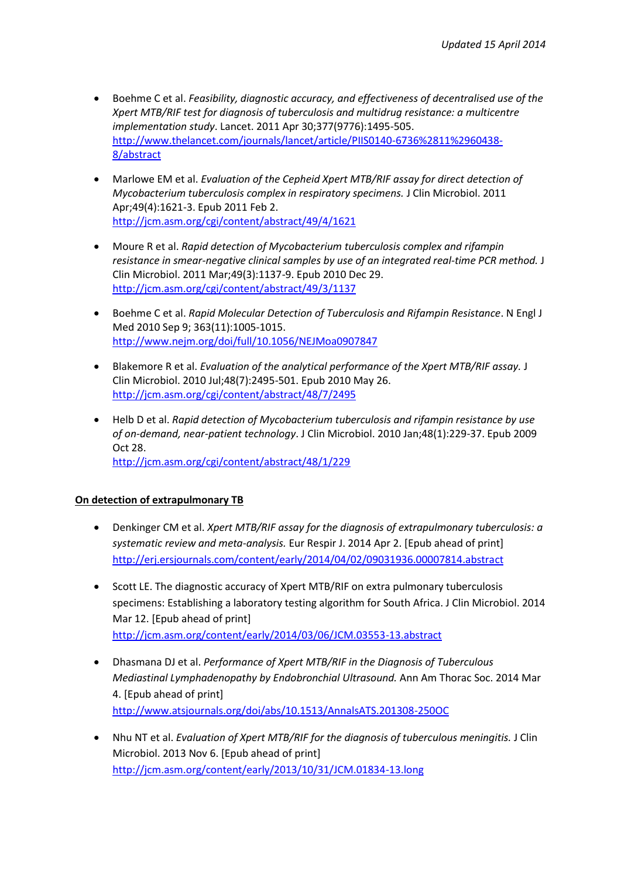- Boehme C et al. *Feasibility, diagnostic accuracy, and effectiveness of decentralised use of the Xpert MTB/RIF test for diagnosis of tuberculosis and multidrug resistance: a multicentre implementation study*. [Lancet.](http://www.ncbi.nlm.nih.gov/pubmed/21507477) 2011 Apr 30;377(9776):1495-505. [http://www.thelancet.com/journals/lancet/article/PIIS0140-6736%2811%2960438-](http://www.thelancet.com/journals/lancet/article/PIIS0140-6736%2811%2960438-8/abstract) [8/abstract](http://www.thelancet.com/journals/lancet/article/PIIS0140-6736%2811%2960438-8/abstract)
- Marlowe EM et al. *Evaluation of the Cepheid Xpert MTB/RIF assay for direct detection of Mycobacterium tuberculosis complex in respiratory specimens.* J Clin Microbiol. 2011 Apr;49(4):1621-3. Epub 2011 Feb 2. <http://jcm.asm.org/cgi/content/abstract/49/4/1621>
- Moure R et al. *Rapid detection of Mycobacterium tuberculosis complex and rifampin resistance in smear-negative clinical samples by use of an integrated real-time PCR method.* J Clin Microbiol. 2011 Mar;49(3):1137-9. Epub 2010 Dec 29. <http://jcm.asm.org/cgi/content/abstract/49/3/1137>
- Boehme C et al. *Rapid Molecular Detection of Tuberculosis and Rifampin Resistance*. N Engl J Med 2010 Sep 9; 363(11):1005-1015. <http://www.nejm.org/doi/full/10.1056/NEJMoa0907847>
- Blakemore R et al. *Evaluation of the analytical performance of the Xpert MTB/RIF assay.* J Clin Microbiol. 2010 Jul;48(7):2495-501. Epub 2010 May 26. <http://jcm.asm.org/cgi/content/abstract/48/7/2495>
- Helb D et al. *Rapid detection of Mycobacterium tuberculosis and rifampin resistance by use of on-demand, near-patient technology*. J Clin Microbiol. 2010 Jan;48(1):229-37. Epub 2009 Oct 28. <http://jcm.asm.org/cgi/content/abstract/48/1/229>

## **On detection of extrapulmonary TB**

- Denkinger CM et al. *Xpert MTB/RIF assay for the diagnosis of extrapulmonary tuberculosis: a systematic review and meta-analysis.* Eur Respir J. 2014 Apr 2. [Epub ahead of print] <http://erj.ersjournals.com/content/early/2014/04/02/09031936.00007814.abstract>
- Scott LE. The diagnostic accuracy of Xpert MTB/RIF on extra pulmonary tuberculosis specimens: Establishing a laboratory testing algorithm for South Africa. J Clin Microbiol. 2014 Mar 12. [Epub ahead of print] <http://jcm.asm.org/content/early/2014/03/06/JCM.03553-13.abstract>
- Dhasmana DJ et al. *Performance of Xpert MTB/RIF in the Diagnosis of Tuberculous Mediastinal Lymphadenopathy by Endobronchial Ultrasound.* Ann Am Thorac Soc. 2014 Mar 4. [Epub ahead of print] <http://www.atsjournals.org/doi/abs/10.1513/AnnalsATS.201308-250OC>
- Nhu NT et al. *Evaluation of Xpert MTB/RIF for the diagnosis of tuberculous meningitis.* J Clin Microbiol. 2013 Nov 6. [Epub ahead of print] <http://jcm.asm.org/content/early/2013/10/31/JCM.01834-13.long>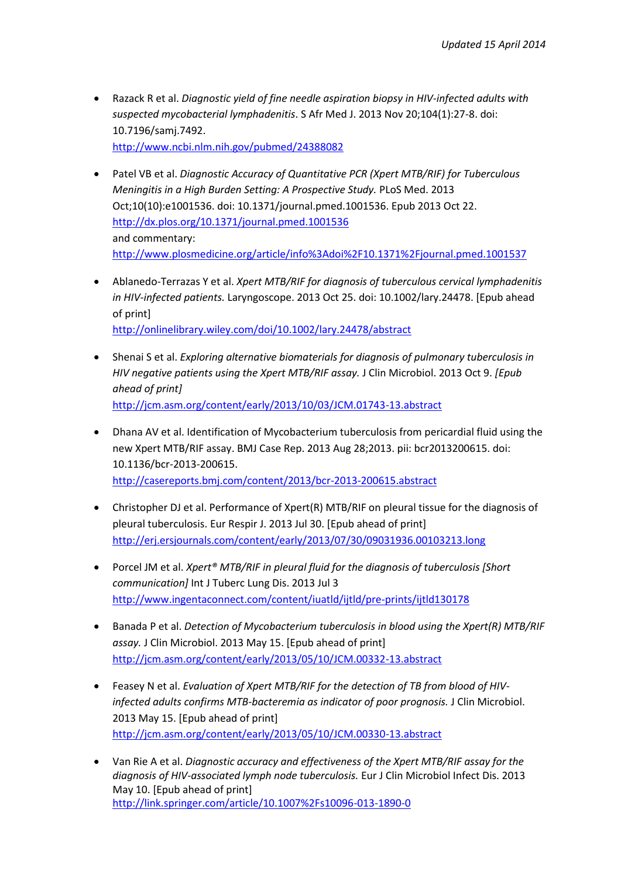- Razack R et al. *Diagnostic yield of fine needle aspiration biopsy in HIV-infected adults with suspected mycobacterial lymphadenitis*. S Afr Med J. 2013 Nov 20;104(1):27-8. doi: 10.7196/samj.7492. <http://www.ncbi.nlm.nih.gov/pubmed/24388082>
- Patel VB et al. *Diagnostic Accuracy of Quantitative PCR (Xpert MTB/RIF) for Tuberculous Meningitis in a High Burden Setting: A Prospective Study.* PLoS Med. 2013 Oct;10(10):e1001536. doi: 10.1371/journal.pmed.1001536. Epub 2013 Oct 22. <http://dx.plos.org/10.1371/journal.pmed.1001536> and commentary: <http://www.plosmedicine.org/article/info%3Adoi%2F10.1371%2Fjournal.pmed.1001537>
- Ablanedo-Terrazas Y et al. *Xpert MTB/RIF for diagnosis of tuberculous cervical lymphadenitis in HIV-infected patients.* Laryngoscope. 2013 Oct 25. doi: 10.1002/lary.24478. [Epub ahead of print] [http://onlinelibrary.wiley.com/doi/10.1002/lary.24478/abstract](http://onlinelibrary.wiley.com/doi/10.1002/lary.24478/abstract;jsessionid=3C7174997EC2ED8E6AE5FA94B73CB666.f01t03)

 Shenai S et al. *Exploring alternative biomaterials for diagnosis of pulmonary tuberculosis in HIV negative patients using the Xpert MTB/RIF assay.* J Clin Microbiol. 2013 Oct 9. *[Epub* 

<http://jcm.asm.org/content/early/2013/10/03/JCM.01743-13.abstract>

*ahead of print]*

- Dhana AV et al. Identification of Mycobacterium tuberculosis from pericardial fluid using the new Xpert MTB/RIF assay. BMJ Case Rep. 2013 Aug 28;2013. pii: bcr2013200615. doi: 10.1136/bcr-2013-200615. <http://casereports.bmj.com/content/2013/bcr-2013-200615.abstract>
- Christopher DJ et al. Performance of Xpert(R) MTB/RIF on pleural tissue for the diagnosis of pleural tuberculosis. Eur Respir J. 2013 Jul 30. [Epub ahead of print] <http://erj.ersjournals.com/content/early/2013/07/30/09031936.00103213.long>
- Porcel JM et al. *Xpert® MTB/RIF in pleural fluid for the diagnosis of tuberculosis [Short communication]* Int J Tuberc Lung Dis. 2013 Jul 3 <http://www.ingentaconnect.com/content/iuatld/ijtld/pre-prints/ijtld130178>
- Banada P et al. *Detection of Mycobacterium tuberculosis in blood using the Xpert(R) MTB/RIF assay.* J Clin Microbiol. 2013 May 15. [Epub ahead of print] <http://jcm.asm.org/content/early/2013/05/10/JCM.00332-13.abstract>
- Feasey N et al. *Evaluation of Xpert MTB/RIF for the detection of TB from blood of HIVinfected adults confirms MTB-bacteremia as indicator of poor prognosis.* J Clin Microbiol. 2013 May 15. [Epub ahead of print] <http://jcm.asm.org/content/early/2013/05/10/JCM.00330-13.abstract>
- Van Rie A et al. *Diagnostic accuracy and effectiveness of the Xpert MTB/RIF assay for the diagnosis of HIV-associated lymph node tuberculosis.* Eur J Clin Microbiol Infect Dis. 2013 May 10. [Epub ahead of print] <http://link.springer.com/article/10.1007%2Fs10096-013-1890-0>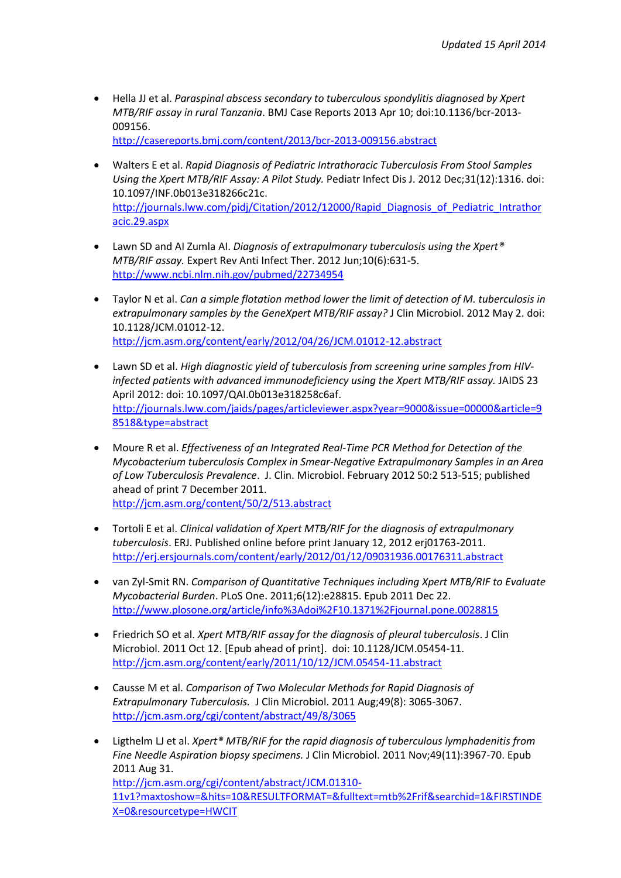Hella JJ et al. *Paraspinal abscess secondary to tuberculous spondylitis diagnosed by Xpert MTB/RIF assay in rural Tanzania*. BMJ Case Reports 2013 Apr 10; doi:10.1136/bcr-2013- 009156.

<http://casereports.bmj.com/content/2013/bcr-2013-009156.abstract>

- Walters E et al. *Rapid Diagnosis of Pediatric Intrathoracic Tuberculosis From Stool Samples Using the Xpert MTB/RIF Assay: A Pilot Study.* Pediatr Infect Dis J. 2012 Dec;31(12):1316. doi: 10.1097/INF.0b013e318266c21c. [http://journals.lww.com/pidj/Citation/2012/12000/Rapid\\_Diagnosis\\_of\\_Pediatric\\_Intrathor](http://journals.lww.com/pidj/Citation/2012/12000/Rapid_Diagnosis_of_Pediatric_Intrathoracic.29.aspx) [acic.29.aspx](http://journals.lww.com/pidj/Citation/2012/12000/Rapid_Diagnosis_of_Pediatric_Intrathoracic.29.aspx)
- Lawn SD and AI [Zumla AI.](http://www.ncbi.nlm.nih.gov/pubmed?term=Zumla%20AI%5BAuthor%5D&cauthor=true&cauthor_uid=22734954) *[Diagnosis of extrapulmonary tuberculosis using the Xpert®](http://www.ncbi.nlm.nih.gov/pubmed/22734954) [MTB/RIF assay.](http://www.ncbi.nlm.nih.gov/pubmed/22734954)* Expert Rev Anti Infect Ther. 2012 Jun;10(6):631-5. <http://www.ncbi.nlm.nih.gov/pubmed/22734954>
- Taylor N et al. *Can a simple flotation method lower the limit of detection of M. tuberculosis in extrapulmonary samples by the GeneXpert MTB/RIF assay?* J Clin Microbiol. 2012 May 2. doi: 10.1128/JCM.01012-12. <http://jcm.asm.org/content/early/2012/04/26/JCM.01012-12.abstract>
- Lawn SD et al. *High diagnostic yield of tuberculosis from screening urine samples from HIVinfected patients with advanced immunodeficiency using the Xpert MTB/RIF assay.* JAIDS 23 April 2012: doi: 10.1097/QAI.0b013e318258c6af. [http://journals.lww.com/jaids/pages/articleviewer.aspx?year=9000&issue=00000&article=9](http://journals.lww.com/jaids/pages/articleviewer.aspx?year=9000&issue=00000&article=98518&type=abstract) [8518&type=abstract](http://journals.lww.com/jaids/pages/articleviewer.aspx?year=9000&issue=00000&article=98518&type=abstract)
- Moure R et al. *Effectiveness of an Integrated Real-Time PCR Method for Detection of the Mycobacterium tuberculosis Complex in Smear-Negative Extrapulmonary Samples in an Area of Low Tuberculosis Prevalence*. J. Clin. Microbiol. February 2012 50:2 513-515; published ahead of print 7 December 2011. <http://jcm.asm.org/content/50/2/513.abstract>
- Tortoli E et al. *Clinical validation of Xpert MTB/RIF for the diagnosis of extrapulmonary tuberculosis*. ERJ. Published online before print January 12, 2012 erj01763-2011. <http://erj.ersjournals.com/content/early/2012/01/12/09031936.00176311.abstract>
- van Zyl-Smit RN. *Comparison of Quantitative Techniques including Xpert MTB/RIF to Evaluate Mycobacterial Burden*. PLoS One. 2011;6(12):e28815. Epub 2011 Dec 22. <http://www.plosone.org/article/info%3Adoi%2F10.1371%2Fjournal.pone.0028815>
- Friedrich SO et al. *Xpert MTB/RIF assay for the diagnosis of pleural tuberculosis*. [J Clin](http://www.ncbi.nlm.nih.gov/pubmed/21998430)  [Microbiol.](http://www.ncbi.nlm.nih.gov/pubmed/21998430) 2011 Oct 12. [Epub ahead of print]. doi: 10.1128/JCM.05454-11. <http://jcm.asm.org/content/early/2011/10/12/JCM.05454-11.abstract>
- Causse M et al. *Comparison of Two Molecular Methods for Rapid Diagnosis of Extrapulmonary Tuberculosis.* J Clin Microbiol. 2011 Aug;49(8): 3065-3067. <http://jcm.asm.org/cgi/content/abstract/49/8/3065>
- [Ligthelm L](http://www.ncbi.nlm.nih.gov/pubmed?term=%22Ligthelm%20LJ%22%5BAuthor%5D)J et al. *Xpert® MTB/RIF for the rapid diagnosis of tuberculous lymphadenitis from Fine Needle Aspiration biopsy specimens.* [J Clin Microbiol.](http://www.ncbi.nlm.nih.gov/pubmed/21880965) 2011 Nov;49(11):3967-70. Epub 2011 Aug 31. [http://jcm.asm.org/cgi/content/abstract/JCM.01310-](http://jcm.asm.org/cgi/content/abstract/JCM.01310-11v1?maxtoshow=&hits=10&RESULTFORMAT=&fulltext=mtb%2Frif&searchid=1&FIRSTINDEX=0&resourcetype=HWCIT) [11v1?maxtoshow=&hits=10&RESULTFORMAT=&fulltext=mtb%2Frif&searchid=1&FIRSTINDE](http://jcm.asm.org/cgi/content/abstract/JCM.01310-11v1?maxtoshow=&hits=10&RESULTFORMAT=&fulltext=mtb%2Frif&searchid=1&FIRSTINDEX=0&resourcetype=HWCIT) [X=0&resourcetype=HWCIT](http://jcm.asm.org/cgi/content/abstract/JCM.01310-11v1?maxtoshow=&hits=10&RESULTFORMAT=&fulltext=mtb%2Frif&searchid=1&FIRSTINDEX=0&resourcetype=HWCIT)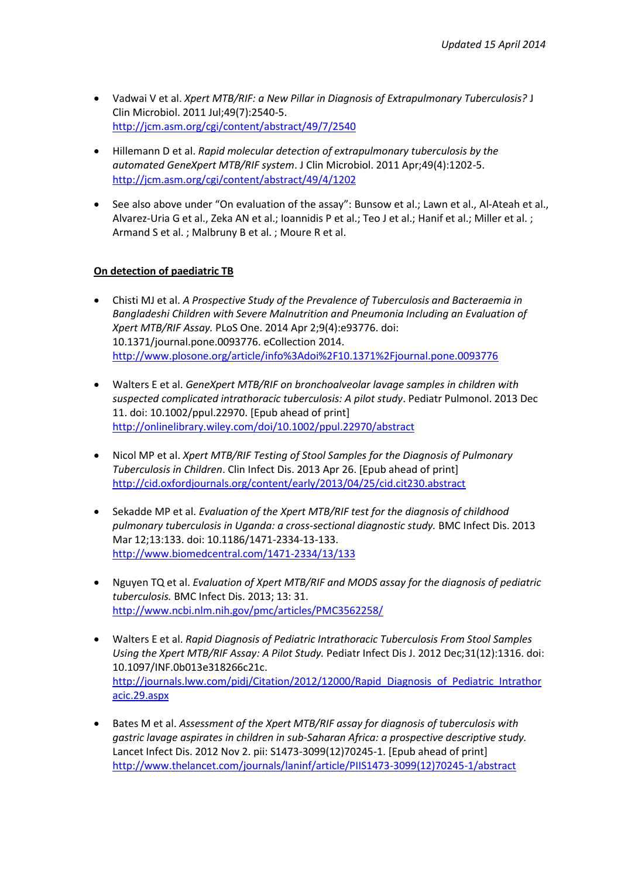- Vadwai V et al. *Xpert MTB/RIF: a New Pillar in Diagnosis of Extrapulmonary Tuberculosis?* J Clin Microbiol. 2011 Jul;49(7):2540-5. <http://jcm.asm.org/cgi/content/abstract/49/7/2540>
- Hillemann D et al. *Rapid molecular detection of extrapulmonary tuberculosis by the automated GeneXpert MTB/RIF system*. J Clin Microbiol. 2011 Apr;49(4):1202-5. <http://jcm.asm.org/cgi/content/abstract/49/4/1202>
- See also above under "On evaluation of the assay": Bunsow et al.; Lawn et al., Al-Ateah et al., Alvarez-Uria G et al., Zeka AN et al.; Ioannidis P et al.; Teo J et al.; Hanif et al.; Miller et al. ; Armand S et al. ; Malbruny B et al. ; Moure R et al.

## **On detection of paediatric TB**

- Chisti MJ et al. *A Prospective Study of the Prevalence of Tuberculosis and Bacteraemia in Bangladeshi Children with Severe Malnutrition and Pneumonia Including an Evaluation of Xpert MTB/RIF Assay.* PLoS One. 2014 Apr 2;9(4):e93776. doi: 10.1371/journal.pone.0093776. eCollection 2014. <http://www.plosone.org/article/info%3Adoi%2F10.1371%2Fjournal.pone.0093776>
- Walters E et al. *GeneXpert MTB/RIF on bronchoalveolar lavage samples in children with suspected complicated intrathoracic tuberculosis: A pilot study*. Pediatr Pulmonol. 2013 Dec 11. doi: 10.1002/ppul.22970. [Epub ahead of print] <http://onlinelibrary.wiley.com/doi/10.1002/ppul.22970/abstract>
- Nicol MP et al. *Xpert MTB/RIF Testing of Stool Samples for the Diagnosis of Pulmonary Tuberculosis in Children*. Clin Infect Dis. 2013 Apr 26. [Epub ahead of print] <http://cid.oxfordjournals.org/content/early/2013/04/25/cid.cit230.abstract>
- Sekadde MP et al. *Evaluation of the Xpert MTB/RIF test for the diagnosis of childhood pulmonary tuberculosis in Uganda: a cross-sectional diagnostic study.* BMC Infect Dis. 2013 Mar 12;13:133. doi: 10.1186/1471-2334-13-133. <http://www.biomedcentral.com/1471-2334/13/133>
- Nguyen TQ et al. *Evaluation of Xpert MTB/RIF and MODS assay for the diagnosis of pediatric tuberculosis.* BMC Infect Dis. 2013; 13: 31. <http://www.ncbi.nlm.nih.gov/pmc/articles/PMC3562258/>
- Walters E et al. *Rapid Diagnosis of Pediatric Intrathoracic Tuberculosis From Stool Samples Using the Xpert MTB/RIF Assay: A Pilot Study.* Pediatr Infect Dis J. 2012 Dec;31(12):1316. doi: 10.1097/INF.0b013e318266c21c. [http://journals.lww.com/pidj/Citation/2012/12000/Rapid\\_Diagnosis\\_of\\_Pediatric\\_Intrathor](http://journals.lww.com/pidj/Citation/2012/12000/Rapid_Diagnosis_of_Pediatric_Intrathoracic.29.aspx) [acic.29.aspx](http://journals.lww.com/pidj/Citation/2012/12000/Rapid_Diagnosis_of_Pediatric_Intrathoracic.29.aspx)
- Bates M et al. *Assessment of the Xpert MTB/RIF assay for diagnosis of tuberculosis with gastric lavage aspirates in children in sub-Saharan Africa: a prospective descriptive study.* Lancet Infect Dis. 2012 Nov 2. pii: S1473-3099(12)70245-1. [Epub ahead of print] [http://www.thelancet.com/journals/laninf/article/PIIS1473-3099\(12\)70245-1/abstract](http://www.thelancet.com/journals/laninf/article/PIIS1473-3099(12)70245-1/abstract)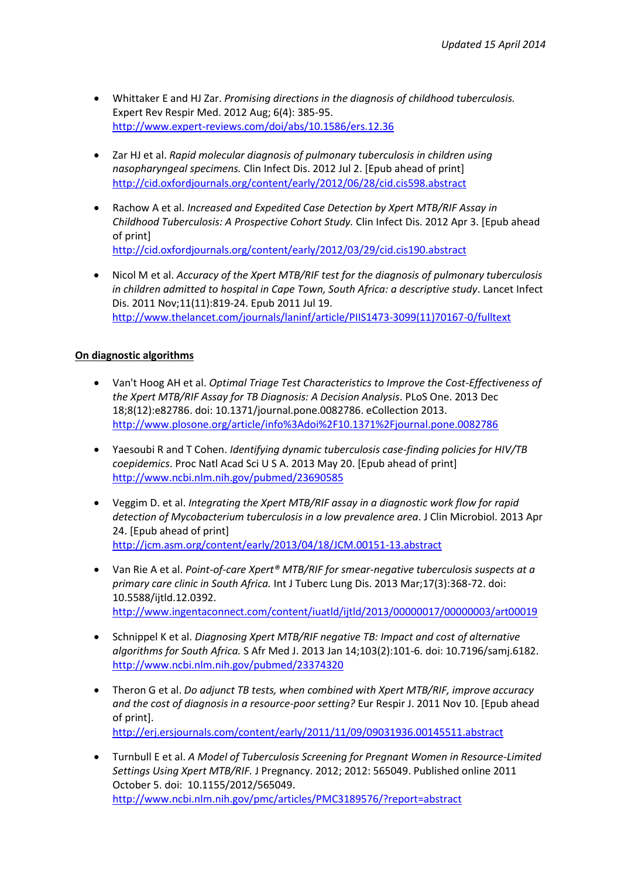- Whittaker E and HJ Zar. *Promising directions in the diagnosis of childhood tuberculosis.* Expert Rev Respir Med. 2012 Aug; 6(4): 385-95. <http://www.expert-reviews.com/doi/abs/10.1586/ers.12.36>
- Zar HJ et al. *Rapid molecular diagnosis of pulmonary tuberculosis in children using nasopharyngeal specimens.* Clin Infect Dis. 2012 Jul 2. [Epub ahead of print] <http://cid.oxfordjournals.org/content/early/2012/06/28/cid.cis598.abstract>
- Rachow A et al. *Increased and Expedited Case Detection by Xpert MTB/RIF Assay in Childhood Tuberculosis: A Prospective Cohort Study.* Clin Infect Dis. 2012 Apr 3. [Epub ahead of print] <http://cid.oxfordjournals.org/content/early/2012/03/29/cid.cis190.abstract>
- Nicol M et al. *Accuracy of the Xpert MTB/RIF test for the diagnosis of pulmonary tuberculosis in children admitted to hospital in Cape Town, South Africa: a descriptive study*. Lancet Infect Dis. 2011 Nov;11(11):819-24. Epub 2011 Jul 19. [http://www.thelancet.com/journals/laninf/article/PIIS1473-3099\(11\)70167-0/fulltext](http://www.thelancet.com/journals/laninf/article/PIIS1473-3099(11)70167-0/fulltext)

#### **On diagnostic algorithms**

- Van't Hoog AH et al. *Optimal Triage Test Characteristics to Improve the Cost-Effectiveness of the Xpert MTB/RIF Assay for TB Diagnosis: A Decision Analysis*. PLoS One. 2013 Dec 18;8(12):e82786. doi: 10.1371/journal.pone.0082786. eCollection 2013. <http://www.plosone.org/article/info%3Adoi%2F10.1371%2Fjournal.pone.0082786>
- Yaesoubi R and T Cohen. *Identifying dynamic tuberculosis case-finding policies for HIV/TB coepidemics*. Proc Natl Acad Sci U S A. 2013 May 20. [Epub ahead of print] <http://www.ncbi.nlm.nih.gov/pubmed/23690585>
- Veggim D. et al. *Integrating the Xpert MTB/RIF assay in a diagnostic work flow for rapid detection of Mycobacterium tuberculosis in a low prevalence area*. J Clin Microbiol. 2013 Apr 24. [Epub ahead of print] <http://jcm.asm.org/content/early/2013/04/18/JCM.00151-13.abstract>
- Van Rie A et al. *Point-of-care Xpert® MTB/RIF for smear-negative tuberculosis suspects at a primary care clinic in South Africa.* Int J Tuberc Lung Dis. 2013 Mar;17(3):368-72. doi: 10.5588/ijtld.12.0392. <http://www.ingentaconnect.com/content/iuatld/ijtld/2013/00000017/00000003/art00019>
- Schnippel K et al. *Diagnosing Xpert MTB/RIF negative TB: Impact and cost of alternative algorithms for South Africa.* S Afr Med J. 2013 Jan 14;103(2):101-6. doi: 10.7196/samj.6182. <http://www.ncbi.nlm.nih.gov/pubmed/23374320>
- Theron G et al. *Do adjunct TB tests, when combined with Xpert MTB/RIF, improve accuracy and the cost of diagnosis in a resource-poor setting?* Eur Respir J. 2011 Nov 10. [Epub ahead of print]. <http://erj.ersjournals.com/content/early/2011/11/09/09031936.00145511.abstract>
- Turnbull E et al. *A Model of Tuberculosis Screening for Pregnant Women in Resource-Limited Settings Using Xpert MTB/RIF.* J Pregnancy. 2012; 2012: 565049. Published online 2011 October 5. doi: 10.1155/2012/565049. <http://www.ncbi.nlm.nih.gov/pmc/articles/PMC3189576/?report=abstract>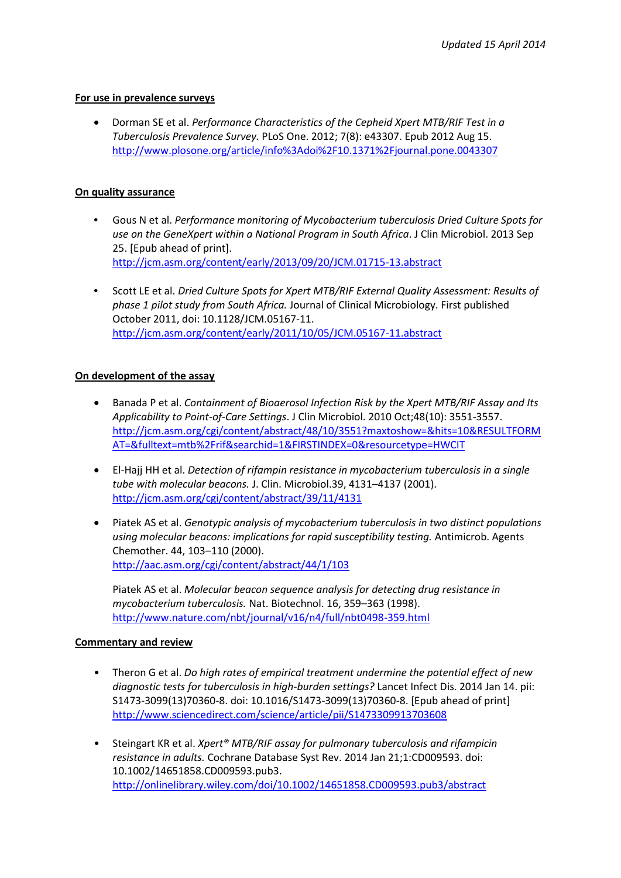#### **For use in prevalence surveys**

 Dorman SE et al. *Performance Characteristics of the Cepheid Xpert MTB/RIF Test in a Tuberculosis Prevalence Survey.* PLoS One. 2012; 7(8): e43307. Epub 2012 Aug 15. <http://www.plosone.org/article/info%3Adoi%2F10.1371%2Fjournal.pone.0043307>

### **On quality assurance**

- **•** Gous N et al. *Performance monitoring of Mycobacterium tuberculosis Dried Culture Spots for use on the GeneXpert within a National Program in South Africa*. J Clin Microbiol. 2013 Sep 25. [Epub ahead of print]. <http://jcm.asm.org/content/early/2013/09/20/JCM.01715-13.abstract>
- **•** Scott LE et al. *Dried Culture Spots for Xpert MTB/RIF External Quality Assessment: Results of phase 1 pilot study from South Africa.* Journal of Clinical Microbiology. First published October 2011, doi: 10.1128/JCM.05167-11. <http://jcm.asm.org/content/early/2011/10/05/JCM.05167-11.abstract>

#### **On development of the assay**

- Banada P et al. *Containment of Bioaerosol Infection Risk by the Xpert MTB/RIF Assay and Its Applicability to Point-of-Care Settings*. [J Clin Microbiol.](http://www.ncbi.nlm.nih.gov/pubmed/21880965) 2010 Oct;48(10): 3551-3557. [http://jcm.asm.org/cgi/content/abstract/48/10/3551?maxtoshow=&hits=10&RESULTFORM](http://jcm.asm.org/cgi/content/abstract/48/10/3551?maxtoshow=&hits=10&RESULTFORMAT=&fulltext=mtb%2Frif&searchid=1&FIRSTINDEX=0&resourcetype=HWCIT) [AT=&fulltext=mtb%2Frif&searchid=1&FIRSTINDEX=0&resourcetype=HWCIT](http://jcm.asm.org/cgi/content/abstract/48/10/3551?maxtoshow=&hits=10&RESULTFORMAT=&fulltext=mtb%2Frif&searchid=1&FIRSTINDEX=0&resourcetype=HWCIT)
- El-Hajj HH et al. *Detection of rifampin resistance in mycobacterium tuberculosis in a single tube with molecular beacons.* J. Clin. Microbiol.39, 4131–4137 (2001). <http://jcm.asm.org/cgi/content/abstract/39/11/4131>
- Piatek AS et al. *Genotypic analysis of mycobacterium tuberculosis in two distinct populations using molecular beacons: implications for rapid susceptibility testing.* Antimicrob. Agents Chemother. 44, 103–110 (2000). <http://aac.asm.org/cgi/content/abstract/44/1/103>

Piatek AS et al. *Molecular beacon sequence analysis for detecting drug resistance in mycobacterium tuberculosis.* Nat. Biotechnol. 16, 359–363 (1998). <http://www.nature.com/nbt/journal/v16/n4/full/nbt0498-359.html>

#### **Commentary and review**

- Theron G et al. *Do high rates of empirical treatment undermine the potential effect of new diagnostic tests for tuberculosis in high-burden settings?* Lancet Infect Dis. 2014 Jan 14. pii: S1473-3099(13)70360-8. doi: 10.1016/S1473-3099(13)70360-8. [Epub ahead of print] <http://www.sciencedirect.com/science/article/pii/S1473309913703608>
- Steingart KR et al. *Xpert® MTB/RIF assay for pulmonary tuberculosis and rifampicin resistance in adults.* Cochrane Database Syst Rev. 2014 Jan 21;1:CD009593. doi: 10.1002/14651858.CD009593.pub3. <http://onlinelibrary.wiley.com/doi/10.1002/14651858.CD009593.pub3/abstract>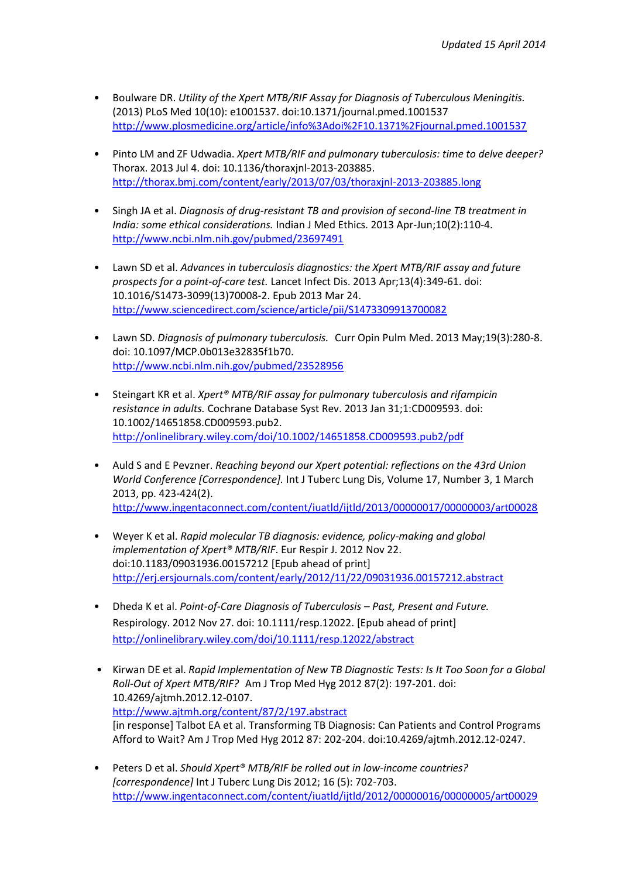- Boulware DR. *Utility of the Xpert MTB/RIF Assay for Diagnosis of Tuberculous Meningitis.* (2013) PLoS Med 10(10): e1001537. doi:10.1371/journal.pmed.1001537 <http://www.plosmedicine.org/article/info%3Adoi%2F10.1371%2Fjournal.pmed.1001537>
- Pinto LM and ZF Udwadia. *Xpert MTB/RIF and pulmonary tuberculosis: time to delve deeper?* Thorax. 2013 Jul 4. doi: 10.1136/thoraxjnl-2013-203885. <http://thorax.bmj.com/content/early/2013/07/03/thoraxjnl-2013-203885.long>
- Singh JA et al. *Diagnosis of drug-resistant TB and provision of second-line TB treatment in India: some ethical considerations.* Indian J Med Ethics. 2013 Apr-Jun;10(2):110-4. <http://www.ncbi.nlm.nih.gov/pubmed/23697491>
- Lawn SD et al. *Advances in tuberculosis diagnostics: the Xpert MTB/RIF assay and future prospects for a point-of-care test.* Lancet Infect Dis. 2013 Apr;13(4):349-61. doi: 10.1016/S1473-3099(13)70008-2. Epub 2013 Mar 24. <http://www.sciencedirect.com/science/article/pii/S1473309913700082>
- Lawn SD. *Diagnosis of pulmonary tuberculosis.* Curr Opin Pulm Med. 2013 May;19(3):280-8. doi: 10.1097/MCP.0b013e32835f1b70. <http://www.ncbi.nlm.nih.gov/pubmed/23528956>
- Steingart KR et al. *Xpert® MTB/RIF assay for pulmonary tuberculosis and rifampicin resistance in adults.* Cochrane Database Syst Rev. 2013 Jan 31;1:CD009593. doi: 10.1002/14651858.CD009593.pub2. <http://onlinelibrary.wiley.com/doi/10.1002/14651858.CD009593.pub2/pdf>
- Auld S and E Pevzner. *Reaching beyond our Xpert potential: reflections on the 43rd Union World Conference [Correspondence].* Int J Tuberc Lung Dis, Volume 17, Number 3, 1 March 2013, pp. 423-424(2). <http://www.ingentaconnect.com/content/iuatld/ijtld/2013/00000017/00000003/art00028>
- Weyer K et al. *Rapid molecular TB diagnosis: evidence, policy-making and global implementation of Xpert® MTB/RIF*. Eur Respir J. 2012 Nov 22. doi:10.1183/09031936.00157212 [Epub ahead of print] <http://erj.ersjournals.com/content/early/2012/11/22/09031936.00157212.abstract>
- Dheda K et al. *Point-of-Care Diagnosis of Tuberculosis – Past, Present and Future.* Respirology. 2012 Nov 27. doi: 10.1111/resp.12022. [Epub ahead of print] <http://onlinelibrary.wiley.com/doi/10.1111/resp.12022/abstract>
- Kirwan DE et al. *Rapid Implementation of New TB Diagnostic Tests: Is It Too Soon for a Global Roll-Out of Xpert MTB/RIF?* Am J Trop Med Hyg 2012 87(2): 197-201. doi: 10.4269/ajtmh.2012.12-0107. <http://www.ajtmh.org/content/87/2/197.abstract> [in response] Talbot EA et al. Transforming TB Diagnosis: Can Patients and Control Programs Afford to Wait? Am J Trop Med Hyg 2012 87: 202-204. doi:10.4269/ajtmh.2012.12-0247.
- Peters D et al. *Should Xpert® MTB/RIF be rolled out in low-income countries? [correspondence]* Int J Tuberc Lung Dis 2012; 16 (5): 702-703. <http://www.ingentaconnect.com/content/iuatld/ijtld/2012/00000016/00000005/art00029>